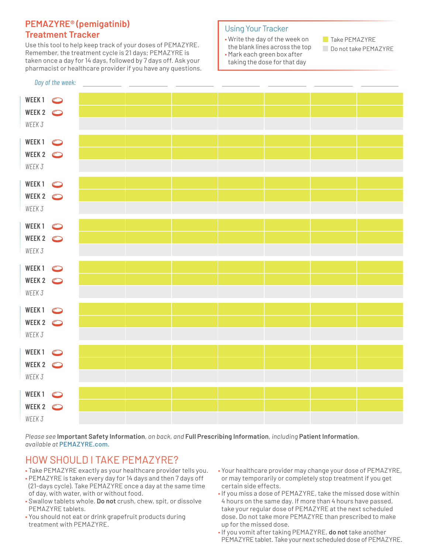### **PEMAZYRE® (pemigatinib) Treatment Tracker**

Use this tool to help keep track of your doses of PEMAZYRE. Remember, the treatment cycle is 21 days; PEMAZYRE is taken once a day for 14 days, followed by 7 days off. Ask your pharmacist or healthcare provider if you have any questions.

### Using Your Tracker

- Write the day of the week on the blank lines across the top
- Mark each green box after taking the dose for that day

**Take PEMAZYRE** 

Do not take PEMAZYRE

|                                        | Day of the week: |  |  |  |  |
|----------------------------------------|------------------|--|--|--|--|
| WEEK1 <sup>o</sup><br>WEEK 2<br>WEEK 3 |                  |  |  |  |  |
|                                        |                  |  |  |  |  |
|                                        |                  |  |  |  |  |
| WEEK1 <sup>o</sup><br>WEEK 2<br>WEEK 3 |                  |  |  |  |  |
|                                        |                  |  |  |  |  |
|                                        |                  |  |  |  |  |
| WEEK1 <sup> </sup>                     |                  |  |  |  |  |
| WEEK 2<br>WEEK 3                       |                  |  |  |  |  |
|                                        |                  |  |  |  |  |
| WEEK1 <sup> </sup>                     |                  |  |  |  |  |
| WEEK 2<br>WEEK 3                       |                  |  |  |  |  |
|                                        |                  |  |  |  |  |
|                                        |                  |  |  |  |  |
| WEEK1 <sup> </sup><br>WEEK 2<br>WEEK 3 |                  |  |  |  |  |
|                                        |                  |  |  |  |  |
|                                        |                  |  |  |  |  |
| WEEK1 <sup> </sup><br>WEEK 2<br>WEEK 3 |                  |  |  |  |  |
|                                        |                  |  |  |  |  |
|                                        |                  |  |  |  |  |
| WEEK1 <sup> </sup><br>WEEK 2<br>WEEK 3 |                  |  |  |  |  |
|                                        |                  |  |  |  |  |
|                                        |                  |  |  |  |  |
| WEEK1 <sup> </sup><br>WEEK 2<br>WEEK 3 |                  |  |  |  |  |
|                                        |                  |  |  |  |  |
|                                        |                  |  |  |  |  |

*Please see* **Important Safety Information***, on back, and* **Full Prescribing Information***, including* **Patient Information***, available at* **[PEMAZYRE.com](http://PEMAZYRE.com).**

## HOW SHOULD I TAKE PEMAZYRE?

- Take PEMAZYRE exactly as your healthcare provider tells you.
- PEMAZYRE is taken every day for 14 days and then 7 days off (21-days cycle). Take PEMAZYRE once a day at the same time of day, with water, with or without food.
- Swallow tablets whole. **Do not** crush, chew, spit, or dissolve PEMAZYRE tablets.
- You should not eat or drink grapefruit products during treatment with PEMAZYRE.
- Your healthcare provider may change your dose of PEMAZYRE, or may temporarily or completely stop treatment if you get certain side effects.
- If you miss a dose of PEMAZYRE, take the missed dose within 4 hours on the same day. If more than 4 hours have passed, take your regular dose of PEMAZYRE at the next scheduled dose. Do not take more PEMAZYRE than prescribed to make up for the missed dose.
- If you vomit after taking PEMAZYRE, **do not** take another PEMAZYRE tablet. Take your next scheduled dose of PEMAZYRE.